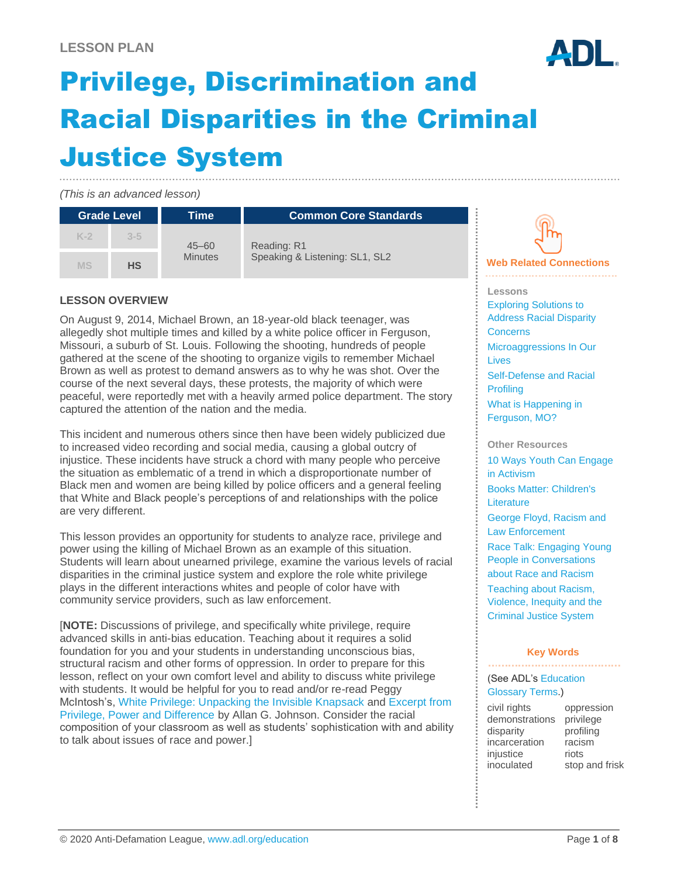

# Privilege, Discrimination and Racial Disparities in the Criminal Justice System

*(This is an advanced lesson)*

| <b>Grade Level</b> |           | Time                        | <b>Common Core Standards</b>                  |                                |
|--------------------|-----------|-----------------------------|-----------------------------------------------|--------------------------------|
| $K-2$              | $3 - 5$   | $45 - 60$<br><b>Minutes</b> | Reading: R1<br>Speaking & Listening: SL1, SL2 |                                |
| MS                 | <b>HS</b> |                             |                                               | <b>Web Related Connections</b> |

### **LESSON OVERVIEW**

On August 9, 2014, Michael Brown, an 18-year-old black teenager, was allegedly shot multiple times and killed by a white police officer in Ferguson, Missouri, a suburb of St. Louis. Following the shooting, hundreds of people gathered at the scene of the shooting to organize vigils to remember Michael Brown as well as protest to demand answers as to why he was shot. Over the course of the next several days, these protests, the majority of which were peaceful, were reportedly met with a heavily armed police department. The story captured the attention of the nation and the media.

This incident and numerous others since then have been widely publicized due to increased video recording and social media, causing a global outcry of injustice. These incidents have struck a chord with many people who perceive the situation as emblematic of a trend in which a disproportionate number of Black men and women are being killed by police officers and a general feeling that White and Black people's perceptions of and relationships with the police are very different.

This lesson provides an opportunity for students to analyze race, privilege and power using the killing of Michael Brown as an example of this situation. Students will learn about unearned privilege, examine the various levels of racial disparities in the criminal justice system and explore the role white privilege plays in the different interactions whites and people of color have with community service providers, such as law enforcement.

[**NOTE:** Discussions of privilege, and specifically white privilege, require advanced skills in anti-bias education. Teaching about it requires a solid foundation for you and your students in understanding unconscious bias, structural racism and other forms of oppression. In order to prepare for this lesson, reflect on your own comfort level and ability to discuss white privilege with students. It would be helpful for you to read and/or re-read Peggy McIntosh's, [White Privilege: Unpacking the Invisible Knapsack](https://nationalseedproject.org/images/documents/Knapsack_plus_Notes-Peggy_McIntosh.pdf) and [Excerpt from](http://www.agjohnson.us/books/privilege/excerpt-from-privilege-power-and-difference/)  [Privilege, Power and Difference](http://www.agjohnson.us/books/privilege/excerpt-from-privilege-power-and-difference/) by Allan G. Johnson. Consider the racial composition of your classroom as well as students' sophistication with and ability to talk about issues of race and power.]

**Lessons** [Exploring Solutions to](https://www.adl.org/education/educator-resources/lesson-plans/exploring-solutions-to-address-racial-disparity-concerns)  [Address Racial Disparity](https://www.adl.org/education/educator-resources/lesson-plans/exploring-solutions-to-address-racial-disparity-concerns)  **[Concerns](https://www.adl.org/education/educator-resources/lesson-plans/exploring-solutions-to-address-racial-disparity-concerns)** [Microaggressions In Our](https://www.adl.org/education/educator-resources/lesson-plans/microaggressions-in-our-lives)  [Lives](https://www.adl.org/education/educator-resources/lesson-plans/microaggressions-in-our-lives) [Self-Defense and Racial](https://www.adl.org/education/educator-resources/lesson-plans/self-defense-and-racial-profiling) 

**[Profiling](https://www.adl.org/education/educator-resources/lesson-plans/self-defense-and-racial-profiling)** [What is Happening in](https://www.adl.org/education/educator-resources/lesson-plans/what-is-happening-in-ferguson-mo)  [Ferguson, MO?](https://www.adl.org/education/educator-resources/lesson-plans/what-is-happening-in-ferguson-mo)

**Other Resources** [10 Ways Youth Can Engage](https://www.adl.org/education/resources/tools-and-strategies/10-ways-youth-can-engage-in-activism)  [in Activism](https://www.adl.org/education/resources/tools-and-strategies/10-ways-youth-can-engage-in-activism) [Books Matter: Children's](https://www.adl.org/books-matter)  **[Literature](https://www.adl.org/books-matter)** [George Floyd, Racism and](https://www.adl.org/education/resources/tools-and-strategies/george-floyd-racism-and-law-enforcement)  [Law Enforcement](https://www.adl.org/education/resources/tools-and-strategies/george-floyd-racism-and-law-enforcement) [Race Talk: Engaging Young](https://www.adl.org/education/resources/tools-and-strategies/race-talk-engaging-young-people-in-conversations-about)  [People in Conversations](https://www.adl.org/education/resources/tools-and-strategies/race-talk-engaging-young-people-in-conversations-about)  [about Race and Racism](https://www.adl.org/education/resources/tools-and-strategies/race-talk-engaging-young-people-in-conversations-about) [Teaching about Racism,](https://www.adl.org/education/resources/tools-and-strategies/teaching-about-racism-violence-inequity-and-the-criminal)  [Violence, Inequity and the](https://www.adl.org/education/resources/tools-and-strategies/teaching-about-racism-violence-inequity-and-the-criminal)  [Criminal Justice System](https://www.adl.org/education/resources/tools-and-strategies/teaching-about-racism-violence-inequity-and-the-criminal)

#### **Key Words**

(See ADL's [Education](https://www.adl.org/education/resources/glossary-terms/education-glossary-terms) 

#### [Glossary Terms.](https://www.adl.org/education/resources/glossary-terms/education-glossary-terms))

| civil rights   | oppression     |
|----------------|----------------|
| demonstrations | privilege      |
| disparity      | profiling      |
| incarceration  | racism         |
| injustice      | riots          |
| inoculated     | stop and frisk |
|                |                |

© 2020 Anti-Defamation League[, www.adl.org/education](http://www.adl.org/education) Page **1** of **8**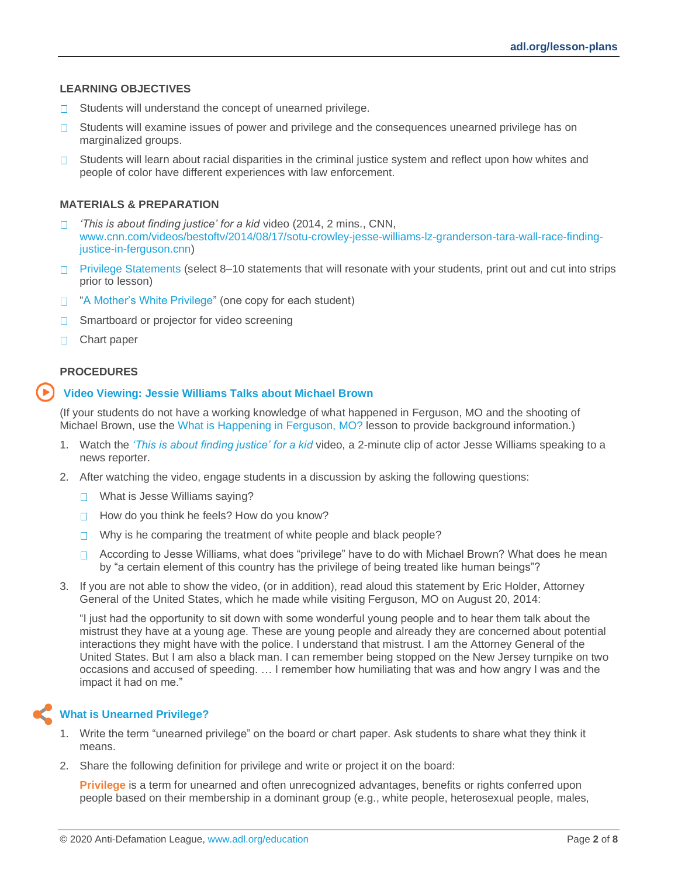#### **LEARNING OBJECTIVES**

- Students will understand the concept of unearned privilege.  $\Box$
- Students will examine issues of power and privilege and the consequences unearned privilege has on  $\Box$ marginalized groups.
- $\Box$  Students will learn about racial disparities in the criminal justice system and reflect upon how whites and people of color have different experiences with law enforcement.

#### **MATERIALS & PREPARATION**

- *'This is about finding justice' for a kid* video (2014, 2 mins., CNN,  $\Box$ [www.cnn.com/videos/bestoftv/2014/08/17/sotu-crowley-jesse-williams-lz-granderson-tara-wall-race-finding](http://www.cnn.com/videos/bestoftv/2014/08/17/sotu-crowley-jesse-williams-lz-granderson-tara-wall-race-finding-justice-in-ferguson.cnn)[justice-in-ferguson.cnn\)](http://www.cnn.com/videos/bestoftv/2014/08/17/sotu-crowley-jesse-williams-lz-granderson-tara-wall-race-finding-justice-in-ferguson.cnn)
- $\Box$  [Privilege Statements](#page-5-0) (select 8–10 statements that will resonate with your students, print out and cut into strips prior to lesson)
- □ ["A Mother's White Privilege"](#page-6-0) (one copy for each student)
- Smartboard or projector for video screening П.
- □ Chart paper

#### **PROCEDURES**

#### **Video Viewing: Jessie Williams Talks about Michael Brown**

(If your students do not have a working knowledge of what happened in Ferguson, MO and the shooting of Michael Brown, use the [What is Happening in Ferguson, MO?](https://www.adl.org/education/educator-resources/lesson-plans/what-is-happening-in-ferguson-mo) lesson to provide background information.)

- 1. Watch the *['This is about finding justice' for a kid](https://www.cnn.com/videos/bestoftv/2014/08/17/sotu-crowley-jesse-williams-lz-granderson-tara-wall-race-finding-justice-in-ferguson.cnn)* video, a 2-minute clip of actor Jesse Williams speaking to a news reporter.
- 2. After watching the video, engage students in a discussion by asking the following questions:
	- □ What is Jesse Williams saying?
	- $\Box$  How do you think he feels? How do you know?
	- $\Box$  Why is he comparing the treatment of white people and black people?
	- □ According to Jesse Williams, what does "privilege" have to do with Michael Brown? What does he mean by "a certain element of this country has the privilege of being treated like human beings"?
- 3. If you are not able to show the video, (or in addition), read aloud this statement by Eric Holder, Attorney General of the United States, which he made while visiting Ferguson, MO on August 20, 2014:

"I just had the opportunity to sit down with some wonderful young people and to hear them talk about the mistrust they have at a young age. These are young people and already they are concerned about potential interactions they might have with the police. I understand that mistrust. I am the Attorney General of the United States. But I am also a black man. I can remember being stopped on the New Jersey turnpike on two occasions and accused of speeding. … I remember how humiliating that was and how angry I was and the impact it had on me."

### **What is Unearned Privilege?**

- 1. Write the term "unearned privilege" on the board or chart paper. Ask students to share what they think it means.
- 2. Share the following definition for privilege and write or project it on the board:

**Privilege** is a term for unearned and often unrecognized advantages, benefits or rights conferred upon people based on their membership in a dominant group (e.g., white people, heterosexual people, males,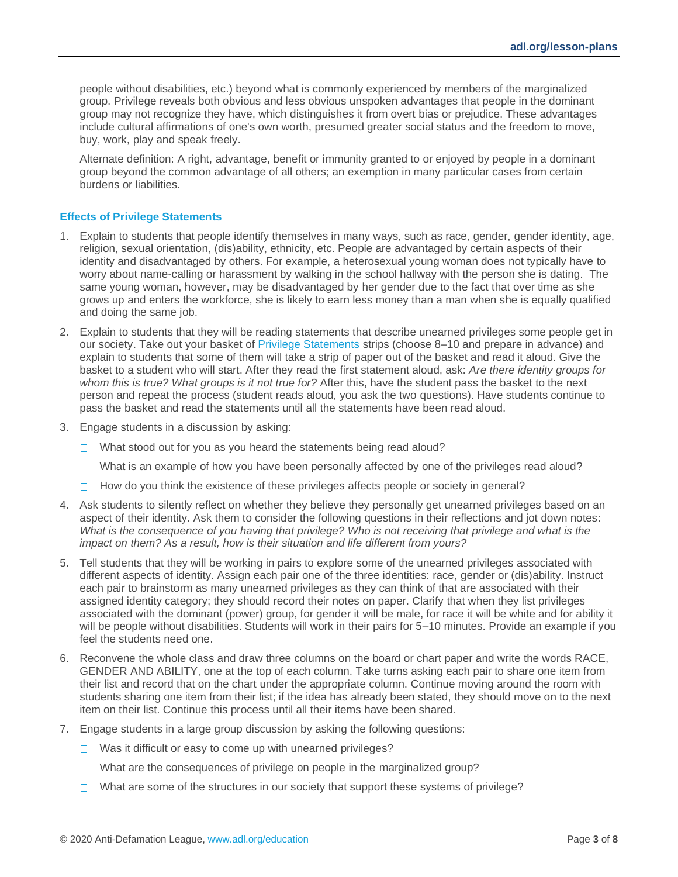people without disabilities, etc.) beyond what is commonly experienced by members of the marginalized group. Privilege reveals both obvious and less obvious unspoken advantages that people in the dominant group may not recognize they have, which distinguishes it from overt bias or prejudice. These advantages include cultural affirmations of one's own worth, presumed greater social status and the freedom to move, buy, work, play and speak freely.

Alternate definition: A right, advantage, benefit or immunity granted to or enjoyed by people in a dominant group beyond the common advantage of all others; an exemption in many particular cases from certain burdens or liabilities.

#### **Effects of Privilege Statements**

- 1. Explain to students that people identify themselves in many ways, such as race, gender, gender identity, age, religion, sexual orientation, (dis)ability, ethnicity, etc. People are advantaged by certain aspects of their identity and disadvantaged by others. For example, a heterosexual young woman does not typically have to worry about name-calling or harassment by walking in the school hallway with the person she is dating. The same young woman, however, may be disadvantaged by her gender due to the fact that over time as she grows up and enters the workforce, she is likely to earn less money than a man when she is equally qualified and doing the same job.
- 2. Explain to students that they will be reading statements that describe unearned privileges some people get in our society. Take out your basket of [Privilege Statements](#page-5-0) strips (choose 8–10 and prepare in advance) and explain to students that some of them will take a strip of paper out of the basket and read it aloud. Give the basket to a student who will start. After they read the first statement aloud, ask: *Are there identity groups for whom this is true? What groups is it not true for?* After this, have the student pass the basket to the next person and repeat the process (student reads aloud, you ask the two questions). Have students continue to pass the basket and read the statements until all the statements have been read aloud.
- 3. Engage students in a discussion by asking:
	- $\Box$  What stood out for you as you heard the statements being read aloud?
	- What is an example of how you have been personally affected by one of the privileges read aloud?
	- $\Box$  How do you think the existence of these privileges affects people or society in general?
- 4. Ask students to silently reflect on whether they believe they personally get unearned privileges based on an aspect of their identity. Ask them to consider the following questions in their reflections and jot down notes: *What is the consequence of you having that privilege? Who is not receiving that privilege and what is the impact on them? As a result, how is their situation and life different from yours?*
- 5. Tell students that they will be working in pairs to explore some of the unearned privileges associated with different aspects of identity. Assign each pair one of the three identities: race, gender or (dis)ability. Instruct each pair to brainstorm as many unearned privileges as they can think of that are associated with their assigned identity category; they should record their notes on paper. Clarify that when they list privileges associated with the dominant (power) group, for gender it will be male, for race it will be white and for ability it will be people without disabilities. Students will work in their pairs for 5–10 minutes. Provide an example if you feel the students need one.
- 6. Reconvene the whole class and draw three columns on the board or chart paper and write the words RACE, GENDER AND ABILITY, one at the top of each column. Take turns asking each pair to share one item from their list and record that on the chart under the appropriate column. Continue moving around the room with students sharing one item from their list; if the idea has already been stated, they should move on to the next item on their list. Continue this process until all their items have been shared.
- 7. Engage students in a large group discussion by asking the following questions:
	- $\Box$  Was it difficult or easy to come up with unearned privileges?
	- □ What are the consequences of privilege on people in the marginalized group?
	- $\Box$  What are some of the structures in our society that support these systems of privilege?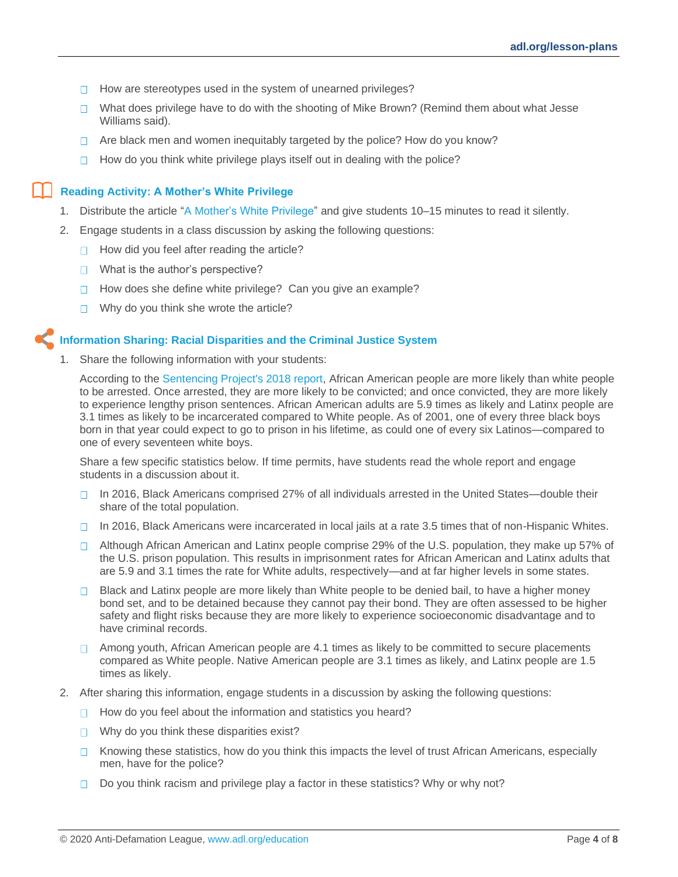- $\Box$  How are stereotypes used in the system of unearned privileges?
- $\Box$  What does privilege have to do with the shooting of Mike Brown? (Remind them about what Jesse Williams said).
- $\Box$  Are black men and women inequitably targeted by the police? How do you know?
- $\Box$ How do you think white privilege plays itself out in dealing with the police?

#### **Reading Activity: A Mother's White Privilege**

- 1. Distribute the article ["A Mother's White Privilege"](#page-6-0) and give students 10–15 minutes to read it silently.
- 2. Engage students in a class discussion by asking the following questions:
	- $\Box$  How did you feel after reading the article?
	- $\Box$  What is the author's perspective?
	- How does she define white privilege? Can you give an example?  $\Box$
	- Why do you think she wrote the article?  $\Box$

#### **Information Sharing: Racial Disparities and the Criminal Justice System**

Share the following information with your students:

According to the [Sentencing Project's 2018 report,](https://www.sentencingproject.org/publications/un-report-on-racial-disparities/) African American people are more likely than white people to be arrested. Once arrested, they are more likely to be convicted; and once convicted, they are more likely to experience lengthy prison sentences. African American adults are 5.9 times as likely and Latinx people are 3.1 times as likely to be incarcerated compared to White people. As of 2001, one of every three black boys born in that year could expect to go to prison in his lifetime, as could one of every six Latinos—compared to one of every seventeen white boys.

Share a few specific statistics below. If time permits, have students read the whole report and engage students in a discussion about it.

- In 2016, Black Americans comprised 27% of all individuals arrested in the United States—double their  $\Box$ share of the total population.
- $\Box$  In 2016, Black Americans were incarcerated in local jails at a rate 3.5 times that of non-Hispanic Whites.
- □ Although African American and Latinx people comprise 29% of the U.S. population, they make up 57% of the U.S. prison population. This results in imprisonment rates for African American and Latinx adults that are 5.9 and 3.1 times the rate for White adults, respectively—and at far higher levels in some states.
- $\Box$  Black and Latinx people are more likely than White people to be denied bail, to have a higher money bond set, and to be detained because they cannot pay their bond. They are often assessed to be higher safety and flight risks because they are more likely to experience socioeconomic disadvantage and to have criminal records.
- $\Box$  Among youth, African American people are 4.1 times as likely to be committed to secure placements compared as White people. Native American people are 3.1 times as likely, and Latinx people are 1.5 times as likely.
- 2. After sharing this information, engage students in a discussion by asking the following questions:
	- $\Box$  How do you feel about the information and statistics you heard?
	- $\Box$  Why do you think these disparities exist?
	- $\Box$  Knowing these statistics, how do you think this impacts the level of trust African Americans, especially men, have for the police?
	- $\Box$  Do you think racism and privilege play a factor in these statistics? Why or why not?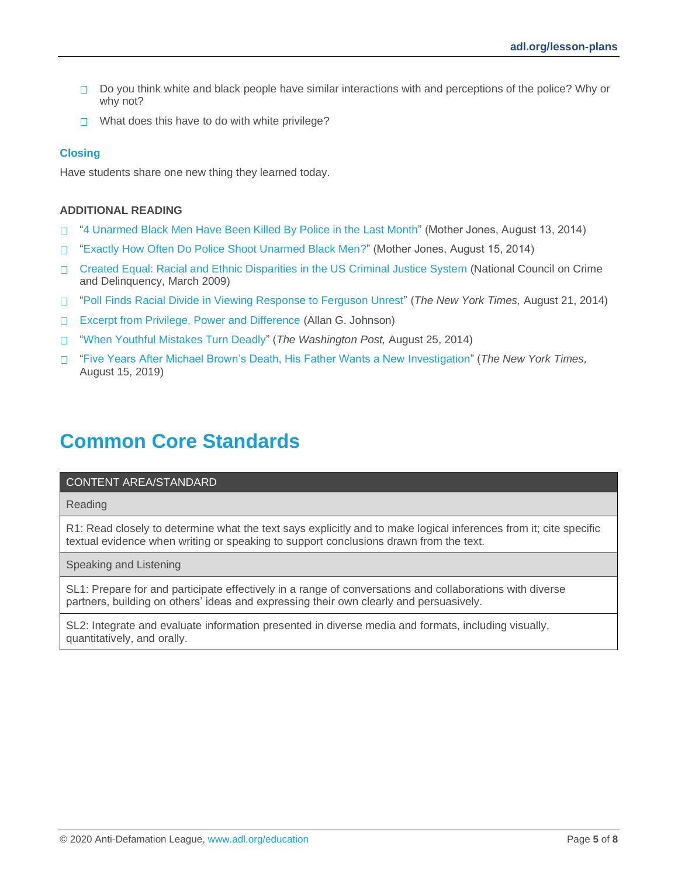- $\Box$  Do you think white and black people have similar interactions with and perceptions of the police? Why or why not?
- $\Box$  What does this have to do with white privilege?

#### **Closing**

Have students share one new thing they learned today.

#### **ADDITIONAL READING**

- ["4 Unarmed Black Men Have Been Killed By Police in the Last Month"](http://www.motherjones.com/politics/2014/08/3-unarmed-black-african-american-men-killed-police) (Mother Jones, August 13, 2014)  $\Box$
- ["Exactly How Often Do Police Shoot Unarmed Black Men?"](http://www.motherjones.com/politics/2014/08/police-shootings-michael-brown-ferguson-black-men) (Mother Jones, August 15, 2014)  $\Box$
- [Created Equal: Racial and Ethnic Disparities in the US Criminal Justice System](http://www.nccdglobal.org/sites/default/files/publication_pdf/created-equal.pdf) (National Council on Crime  $\Box$ and Delinquency, March 2009)
- ["Poll Finds Racial Divide in Viewing Response to Ferguson Unrest"](http://www.nytimes.com/2014/08/22/us/politics/racial-divide-seen-in-response-to-ferguson-unrest-poll-finds.html?smid=nytcore-iphone-share&smprod=nytcore-iphone) (*The New York Times,* August 21, 2014)  $\Box$
- [Excerpt from Privilege, Power and Difference](http://www.agjohnson.us/books/privilege/excerpt-from-privilege-power-and-difference/) (Allan G. Johnson)  $\Box$
- ["When Youthful Mistakes Turn Deadly"](http://www.washingtonpost.com/opinions/eugene-robinson-for-african-american-men-youthful-mistakes-can-turn-deadly/2014/08/25/e8b5a092-2c94-11e4-9b98-848790384093_story.html) (*The Washington Post,* August 25, 2014)  $\Box$
- ["Five Years After Michael Brown's Death, His Father Wants a New](https://www.nytimes.com/2019/08/09/us/ferguson-michael-brown.html) Investigation" (*The New York Times,*  $\Box$ August 15, 2019)

### **Common Core Standards**

#### CONTENT AREA/STANDARD

Reading

R1: Read closely to determine what the text says explicitly and to make logical inferences from it; cite specific textual evidence when writing or speaking to support conclusions drawn from the text.

Speaking and Listening

SL1: Prepare for and participate effectively in a range of conversations and collaborations with diverse partners, building on others' ideas and expressing their own clearly and persuasively.

SL2: Integrate and evaluate information presented in diverse media and formats, including visually, quantitatively, and orally.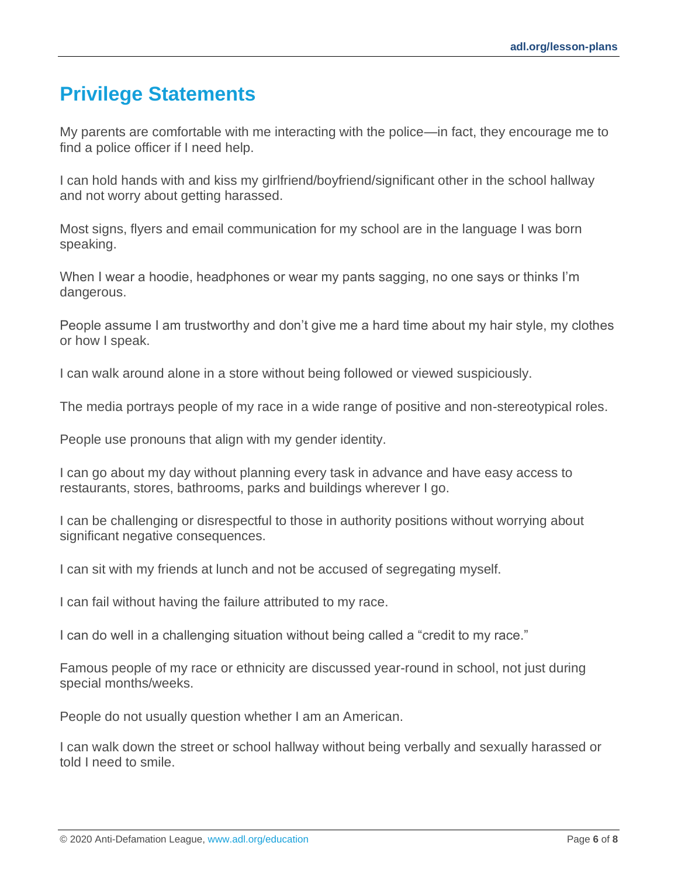## <span id="page-5-0"></span>**Privilege Statements**

My parents are comfortable with me interacting with the police—in fact, they encourage me to find a police officer if I need help.

I can hold hands with and kiss my girlfriend/boyfriend/significant other in the school hallway and not worry about getting harassed.

Most signs, flyers and email communication for my school are in the language I was born speaking.

When I wear a hoodie, headphones or wear my pants sagging, no one says or thinks I'm dangerous.

People assume I am trustworthy and don't give me a hard time about my hair style, my clothes or how I speak.

I can walk around alone in a store without being followed or viewed suspiciously.

The media portrays people of my race in a wide range of positive and non-stereotypical roles.

People use pronouns that align with my gender identity.

I can go about my day without planning every task in advance and have easy access to restaurants, stores, bathrooms, parks and buildings wherever I go.

I can be challenging or disrespectful to those in authority positions without worrying about significant negative consequences.

I can sit with my friends at lunch and not be accused of segregating myself.

I can fail without having the failure attributed to my race.

I can do well in a challenging situation without being called a "credit to my race."

Famous people of my race or ethnicity are discussed year-round in school, not just during special months/weeks.

People do not usually question whether I am an American.

I can walk down the street or school hallway without being verbally and sexually harassed or told I need to smile.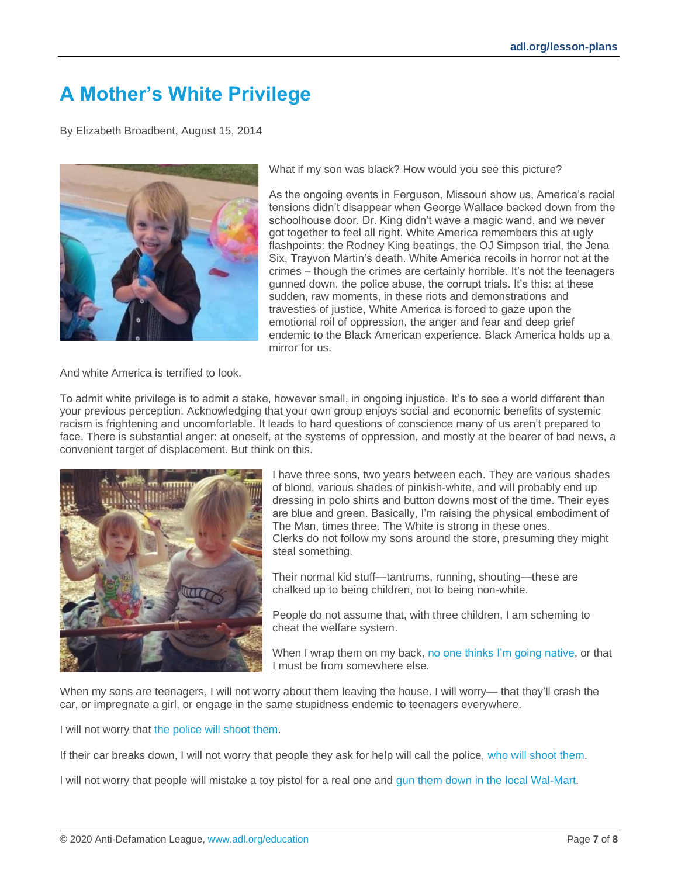# <span id="page-6-0"></span>**A Mother's White Privilege**

By Elizabeth Broadbent, August 15, 2014



What if my son was black? How would you see this picture?

As the ongoing events in Ferguson, Missouri show us, America's racial tensions didn't disappear when George Wallace backed down from the schoolhouse door. Dr. King didn't wave a magic wand, and we never got together to feel all right. White America remembers this at ugly flashpoints: the Rodney King beatings, the OJ Simpson trial, the Jena Six, Trayvon Martin's death. White America recoils in horror not at the crimes – though the crimes are certainly horrible. It's not the teenagers gunned down, the police abuse, the corrupt trials. It's this: at these sudden, raw moments, in these riots and demonstrations and travesties of justice, White America is forced to gaze upon the emotional roil of oppression, the anger and fear and deep grief endemic to the Black American experience. Black America holds up a mirror for us.

And white America is terrified to look.

To admit white privilege is to admit a stake, however small, in ongoing injustice. It's to see a world different than your previous perception. Acknowledging that your own group enjoys social and economic benefits of systemic racism is frightening and uncomfortable. It leads to hard questions of conscience many of us aren't prepared to face. There is substantial anger: at oneself, at the systems of oppression, and mostly at the bearer of bad news, a convenient target of displacement. But think on this.



I have three sons, two years between each. They are various shades of blond, various shades of pinkish-white, and will probably end up dressing in polo shirts and button downs most of the time. Their eyes are blue and green. Basically, I'm raising the physical embodiment of The Man, times three. The White is strong in these ones. Clerks do not follow my sons around the store, presuming they might steal something.

Their normal kid stuff—tantrums, running, shouting—these are chalked up to being children, not to being non-white.

People do not assume that, with three children, I am scheming to cheat the welfare system.

When I wrap them on my back, [no one thinks I'm going native,](http://manicpixiedreammama.com/race-and-the-babywearing-community/) or that I must be from somewhere else.

When my sons are teenagers, I will not worry about them leaving the house. I will worry— that they'll crash the car, or impregnate a girl, or engage in the same stupidness endemic to teenagers everywhere.

I will not worry that [the police will shoot them.](http://www.usatoday.com/story/news/nation/2014/08/14/michael-brown-ferguson-missouri-timeline/14051827/)

If their car breaks down, I will not worry that people they ask for help will call the police, [who will shoot them.](http://www.buzzfeed.com/adriancarrasquillo/officer-who-shot-young-black-man-after-he-was-in-car-acciden)

I will not worry that people will mistake a toy pistol for a real one and [gun them down in the local Wal-Mart.](http://rollingout.com/criminal-behavior/black-father-killed-police-holding-toy-gun-walmart/)